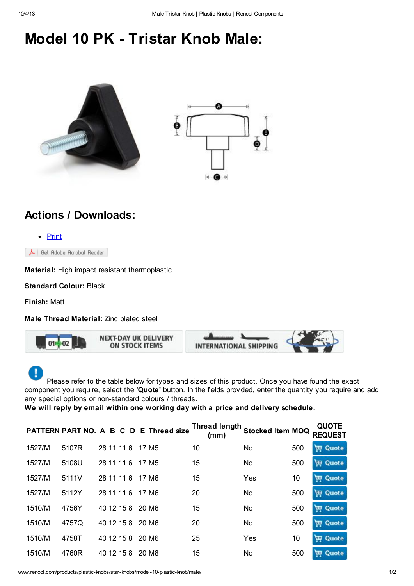## Model 10 PK - Tristar Knob Male:





## Actions / Downloads:



Material: High impact resistant thermoplastic

Standard Colour: Black

Finish: Matt

Male Thread Material: Zinc plated steel



Please refer to the table below for types and sizes of this product. Once you have found the exact component you require, select the 'Quote' button. In the fields provided, enter the quantity you require and add any special options or non-standard colours / threads.

We will reply by email within one working day with a price and delivery schedule.

|        |       |  |                  | PATTERN PART NO. A B C D E Thread size | <b>Thread length</b><br>(mm) | <b>Stocked Item MOQ</b> |     | <b>QUOTE</b>   |
|--------|-------|--|------------------|----------------------------------------|------------------------------|-------------------------|-----|----------------|
| 1527/M | 5107R |  | 28 11 11 6       | 17 M <sub>5</sub>                      | 10                           | No                      | 500 | <b>豆 Quote</b> |
| 1527/M | 5108U |  | 28 11 11 6       | 17 M <sub>5</sub>                      | 15                           | No                      | 500 | <b>甲 Quote</b> |
| 1527/M | 5111V |  | 28 11 11 6       | 17 M6                                  | 15                           | Yes                     | 10  | Quote<br>声     |
| 1527/M | 5112Y |  | 28 11 11 6       | 17 M6                                  | 20                           | No                      | 500 | <b>H</b> Quote |
| 1510/M | 4756Y |  | 40 12 15 8 20 M6 |                                        | 15                           | No                      | 500 | <b>豆 Quote</b> |
| 1510/M | 4757Q |  | 40 12 15 8       | 20 M6                                  | 20                           | No                      | 500 | 豆 Quote        |
| 1510/M | 4758T |  | 40 12 15 8       | 20 M6                                  | 25                           | Yes                     | 10  | <b>豆 Quote</b> |
| 1510/M | 4760R |  | 40 12 15 8       | 20 M8                                  | 15                           | No                      | 500 | <b>豆 Quote</b> |